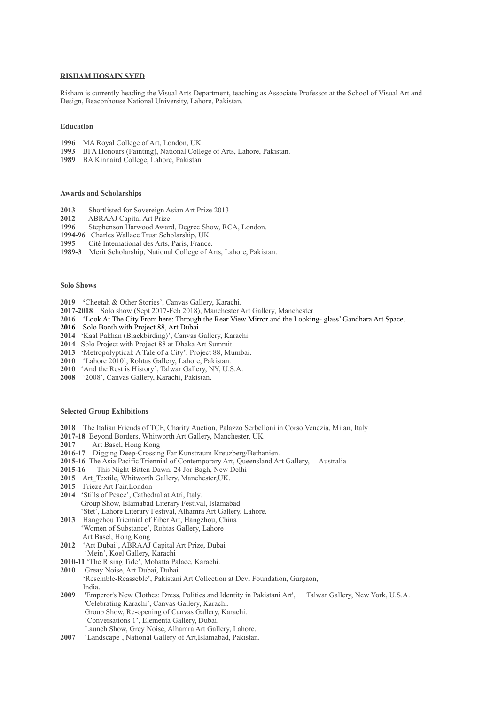## **RISHAM HOSAIN SYED**

Risham is currently heading the Visual Arts Department, teaching as Associate Professor at the School of Visual Art and Design, Beaconhouse National University, Lahore, Pakistan.

### **Education**

- **1996** MA Royal College of Art, London, UK.
- **1993** BFA Honours (Painting), National College of Arts, Lahore, Pakistan.
- **1989** BA Kinnaird College, Lahore, Pakistan.

## **Awards and Scholarships**

- **2013** Shortlisted for Sovereign Asian Art Prize 2013
- 2012 ABRAAJ Capital Art Prize<br>1996 Stephenson Harwood Awar
- Stephenson Harwood Award, Degree Show, RCA, London.
- **1994-96** Charles Wallace Trust Scholarship, UK
- **1995** Cité International des Arts, Paris, France.
- **1989-3** Merit Scholarship, National College of Arts, Lahore, Pakistan.

### **Solo Shows**

- **2019 '**Cheetah & Other Stories', Canvas Gallery, Karachi.
- **2017-2018** Solo show (Sept 2017-Feb 2018), Manchester Art Gallery, Manchester
- **2016** 'Look At The City From here: Through the Rear View Mirror and the Looking- glass' Gandhara Art Space.
- **2016** Solo Booth with Project 88, Art Dubai
- **2014** 'Kaal Pakhan (Blackbirding)', Canvas Gallery, Karachi.
- **2014** Solo Project with Project 88 at Dhaka Art Summit
- **2013** 'Metropolyptical: A Tale of a City', Project 88, Mumbai.
- **2010** 'Lahore 2010', Rohtas Gallery, Lahore, Pakistan.
- **2010** 'And the Rest is History', Talwar Gallery, NY, U.S.A.
- **2008** '2008', Canvas Gallery, Karachi, Pakistan.

# **Selected Group Exhibitions**

- **2018** The Italian Friends of TCF, Charity Auction, Palazzo Serbelloni in Corso Venezia, Milan, Italy
- **2017-18** Beyond Borders, Whitworth Art Gallery, Manchester, UK
- **2017** Art Basel, Hong Kong
- **2016-17** Digging Deep-Crossing Far Kunstraum Kreuzberg/Bethanien.
- **2015-16** The Asia Pacific Triennial of Contemporary Art, Queensland Art Gallery, Australia
- **2015-16** This Night-Bitten Dawn, 24 Jor Bagh, New Delhi
- 2015 Art Textile, Whitworth Gallery, Manchester, UK.
- **2015** Frieze Art Fair,London
- **2014** 'Stills of Peace', Cathedral at Atri, Italy. Group Show, Islamabad Literary Festival, Islamabad. 'Stet', Lahore Literary Festival, Alhamra Art Gallery, Lahore.
- **2013** Hangzhou Triennial of Fiber Art, Hangzhou, China 'Women of Substance', Rohtas Gallery, Lahore Art Basel, Hong Kong
- **2012** 'Art Dubai', ABRAAJ Capital Art Prize, Dubai 'Mein', Koel Gallery, Karachi
- **2010-11** 'The Rising Tide', Mohatta Palace, Karachi.
- **2010** Greay Noise, Art Dubai, Dubai
- 'Resemble-Reasseble', Pakistani Art Collection at Devi Foundation, Gurgaon, India<br>2009 Emr
- **2009** 'Emperor's New Clothes: Dress, Politics and Identity in Pakistani Art', Talwar Gallery, New York, U.S.A. 'Celebrating Karachi', Canvas Gallery, Karachi. Group Show, Re-opening of Canvas Gallery, Karachi. 'Conversations 1', Elementa Gallery, Dubai. Launch Show, Grey Noise, Alhamra Art Gallery, Lahore.
- **2007** 'Landscape', National Gallery of Art,Islamabad, Pakistan.